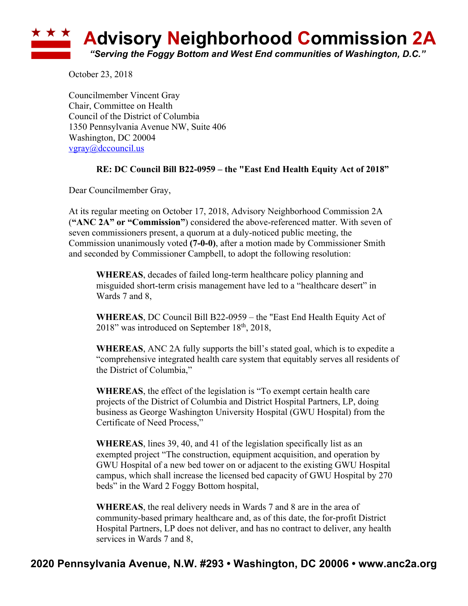

October 23, 2018

Councilmember Vincent Gray Chair, Committee on Health Council of the District of Columbia 1350 Pennsylvania Avenue NW, Suite 406 Washington, DC 20004 vgray@dccouncil.us

## **RE: DC Council Bill B22-0959 – the "East End Health Equity Act of 2018"**

Dear Councilmember Gray,

At its regular meeting on October 17, 2018, Advisory Neighborhood Commission 2A (**"ANC 2A" or "Commission"**) considered the above-referenced matter. With seven of seven commissioners present, a quorum at a duly-noticed public meeting, the Commission unanimously voted **(7-0-0)**, after a motion made by Commissioner Smith and seconded by Commissioner Campbell, to adopt the following resolution:

**WHEREAS**, decades of failed long-term healthcare policy planning and misguided short-term crisis management have led to a "healthcare desert" in Wards 7 and 8,

**WHEREAS**, DC Council Bill B22-0959 – the "East End Health Equity Act of 2018" was introduced on September 18<sup>th</sup>, 2018,

**WHEREAS**, ANC 2A fully supports the bill's stated goal, which is to expedite a "comprehensive integrated health care system that equitably serves all residents of the District of Columbia,"

**WHEREAS**, the effect of the legislation is "To exempt certain health care projects of the District of Columbia and District Hospital Partners, LP, doing business as George Washington University Hospital (GWU Hospital) from the Certificate of Need Process,"

**WHEREAS**, lines 39, 40, and 41 of the legislation specifically list as an exempted project "The construction, equipment acquisition, and operation by GWU Hospital of a new bed tower on or adjacent to the existing GWU Hospital campus, which shall increase the licensed bed capacity of GWU Hospital by 270 beds" in the Ward 2 Foggy Bottom hospital,

**WHEREAS**, the real delivery needs in Wards 7 and 8 are in the area of community-based primary healthcare and, as of this date, the for-profit District Hospital Partners, LP does not deliver, and has no contract to deliver, any health services in Wards 7 and 8,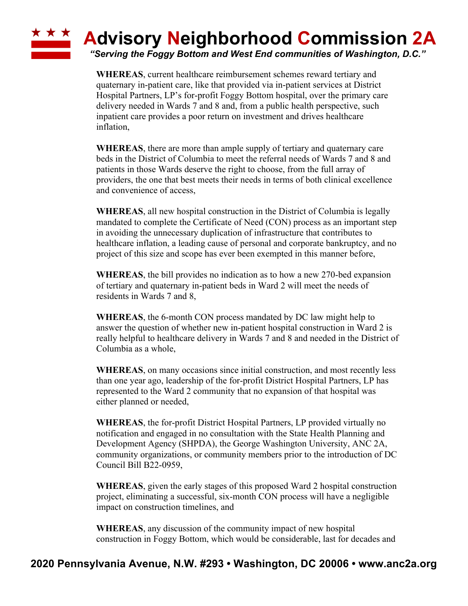## \* \* \* **Advisory Neighborhood Commission 2A**

*"Serving the Foggy Bottom and West End communities of Washington, D.C."*

**WHEREAS**, current healthcare reimbursement schemes reward tertiary and quaternary in-patient care, like that provided via in-patient services at District Hospital Partners, LP's for-profit Foggy Bottom hospital, over the primary care delivery needed in Wards 7 and 8 and, from a public health perspective, such inpatient care provides a poor return on investment and drives healthcare inflation,

**WHEREAS**, there are more than ample supply of tertiary and quaternary care beds in the District of Columbia to meet the referral needs of Wards 7 and 8 and patients in those Wards deserve the right to choose, from the full array of providers, the one that best meets their needs in terms of both clinical excellence and convenience of access,

**WHEREAS**, all new hospital construction in the District of Columbia is legally mandated to complete the Certificate of Need (CON) process as an important step in avoiding the unnecessary duplication of infrastructure that contributes to healthcare inflation, a leading cause of personal and corporate bankruptcy, and no project of this size and scope has ever been exempted in this manner before,

**WHEREAS**, the bill provides no indication as to how a new 270-bed expansion of tertiary and quaternary in-patient beds in Ward 2 will meet the needs of residents in Wards 7 and 8,

**WHEREAS**, the 6-month CON process mandated by DC law might help to answer the question of whether new in-patient hospital construction in Ward 2 is really helpful to healthcare delivery in Wards 7 and 8 and needed in the District of Columbia as a whole,

**WHEREAS**, on many occasions since initial construction, and most recently less than one year ago, leadership of the for-profit District Hospital Partners, LP has represented to the Ward 2 community that no expansion of that hospital was either planned or needed,

**WHEREAS**, the for-profit District Hospital Partners, LP provided virtually no notification and engaged in no consultation with the State Health Planning and Development Agency (SHPDA), the George Washington University, ANC 2A, community organizations, or community members prior to the introduction of DC Council Bill B22-0959,

**WHEREAS**, given the early stages of this proposed Ward 2 hospital construction project, eliminating a successful, six-month CON process will have a negligible impact on construction timelines, and

**WHEREAS**, any discussion of the community impact of new hospital construction in Foggy Bottom, which would be considerable, last for decades and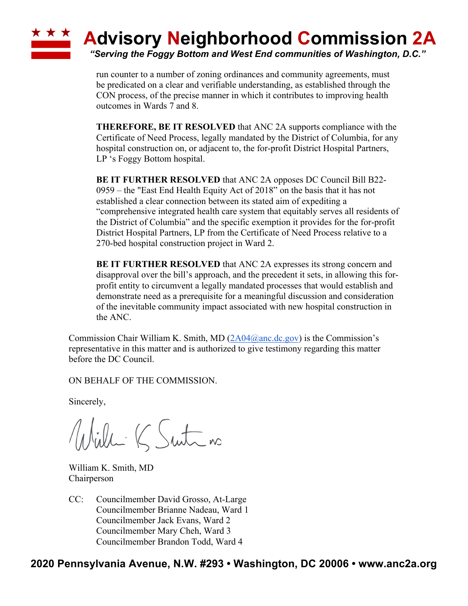

run counter to a number of zoning ordinances and community agreements, must be predicated on a clear and verifiable understanding, as established through the CON process, of the precise manner in which it contributes to improving health outcomes in Wards 7 and 8.

**THEREFORE, BE IT RESOLVED** that ANC 2A supports compliance with the Certificate of Need Process, legally mandated by the District of Columbia, for any hospital construction on, or adjacent to, the for-profit District Hospital Partners, LP 's Foggy Bottom hospital.

**BE IT FURTHER RESOLVED** that ANC 2A opposes DC Council Bill B22- 0959 – the "East End Health Equity Act of 2018" on the basis that it has not established a clear connection between its stated aim of expediting a "comprehensive integrated health care system that equitably serves all residents of the District of Columbia" and the specific exemption it provides for the for-profit District Hospital Partners, LP from the Certificate of Need Process relative to a 270-bed hospital construction project in Ward 2.

**BE IT FURTHER RESOLVED** that ANC 2A expresses its strong concern and disapproval over the bill's approach, and the precedent it sets, in allowing this forprofit entity to circumvent a legally mandated processes that would establish and demonstrate need as a prerequisite for a meaningful discussion and consideration of the inevitable community impact associated with new hospital construction in the ANC.

Commission Chair William K. Smith, MD  $(2A04@anc \cdot dc.gov)$  is the Commission's representative in this matter and is authorized to give testimony regarding this matter before the DC Council.

ON BEHALF OF THE COMMISSION.

Sincerely,

Willi K Suite no

William K. Smith, MD Chairperson

CC: Councilmember David Grosso, At-Large Councilmember Brianne Nadeau, Ward 1 Councilmember Jack Evans, Ward 2 Councilmember Mary Cheh, Ward 3 Councilmember Brandon Todd, Ward 4

## **2020 Pennsylvania Avenue, N.W. #293 • Washington, DC 20006 • www.anc2a.org**